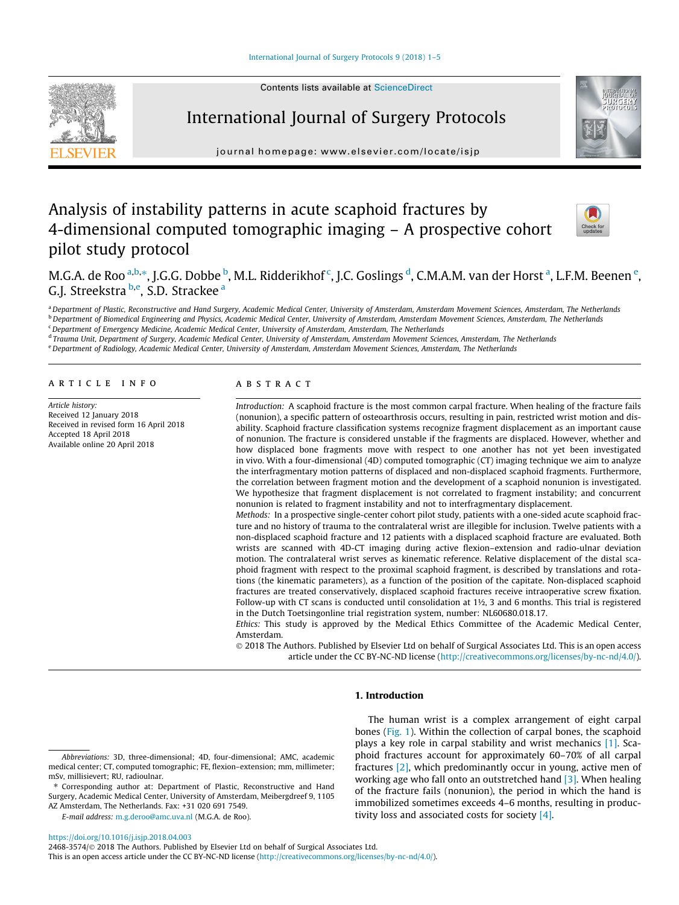



journal homepage: [www.elsevier.com/locate/isjp](http://www.elsevier.com/locate/isjp)



# Analysis of instability patterns in acute scaphoid fractures by 4-dimensional computed tomographic imaging – A prospective cohort pilot study protocol



M.G.A. de Roo <sup>a,b,</sup>\*, J.G.G. Dobbe <sup>b</sup>, M.L. Ridderikhof <sup>c</sup>, J.C. Goslings <sup>d</sup>, C.M.A.M. van der Horst <sup>a</sup>, L.F.M. Beenen <sup>e</sup>, G.J. Streekstra <sup>b,e</sup>, S.D. Strackee <sup>a</sup>

a Department of Plastic, Reconstructive and Hand Surgery, Academic Medical Center, University of Amsterdam, Amsterdam Movement Sciences, Amsterdam, The Netherlands **b** Department of Biomedical Engineering and Physics, Academic Medical Center, University of Amsterdam, Amsterdam Movement Sciences, Amsterdam, The Netherlands <sup>c</sup> Department of Emergency Medicine, Academic Medical Center, University of Amsterdam, Amsterdam, The Netherlands

<sup>d</sup> Trauma Unit, Department of Surgery, Academic Medical Center, University of Amsterdam, Amsterdam Movement Sciences, Amsterdam, The Netherlands

e Department of Radiology, Academic Medical Center, University of Amsterdam, Amsterdam Movement Sciences, Amsterdam, The Netherlands

# article info

Article history: Received 12 January 2018 Received in revised form 16 April 2018 Accepted 18 April 2018 Available online 20 April 2018

# **ABSTRACT**

Introduction: A scaphoid fracture is the most common carpal fracture. When healing of the fracture fails (nonunion), a specific pattern of osteoarthrosis occurs, resulting in pain, restricted wrist motion and disability. Scaphoid fracture classification systems recognize fragment displacement as an important cause of nonunion. The fracture is considered unstable if the fragments are displaced. However, whether and how displaced bone fragments move with respect to one another has not yet been investigated in vivo. With a four-dimensional (4D) computed tomographic (CT) imaging technique we aim to analyze the interfragmentary motion patterns of displaced and non-displaced scaphoid fragments. Furthermore, the correlation between fragment motion and the development of a scaphoid nonunion is investigated. We hypothesize that fragment displacement is not correlated to fragment instability; and concurrent nonunion is related to fragment instability and not to interfragmentary displacement.

Methods: In a prospective single-center cohort pilot study, patients with a one-sided acute scaphoid fracture and no history of trauma to the contralateral wrist are illegible for inclusion. Twelve patients with a non-displaced scaphoid fracture and 12 patients with a displaced scaphoid fracture are evaluated. Both wrists are scanned with 4D-CT imaging during active flexion–extension and radio-ulnar deviation motion. The contralateral wrist serves as kinematic reference. Relative displacement of the distal scaphoid fragment with respect to the proximal scaphoid fragment, is described by translations and rotations (the kinematic parameters), as a function of the position of the capitate. Non-displaced scaphoid fractures are treated conservatively, displaced scaphoid fractures receive intraoperative screw fixation. Follow-up with CT scans is conducted until consolidation at 1½, 3 and 6 months. This trial is registered in the Dutch Toetsingonline trial registration system, number: NL60680.018.17.

Ethics: This study is approved by the Medical Ethics Committee of the Academic Medical Center, Amsterdam.

 2018 The Authors. Published by Elsevier Ltd on behalf of Surgical Associates Ltd. This is an open access article under the CC BY-NC-ND license (<http://creativecommons.org/licenses/by-nc-nd/4.0/>).

# 1. Introduction

E-mail address: [m.g.deroo@amc.uva.nl](mailto:m.g.deroo@amc.uva.nl) (M.G.A. de Roo).

The human wrist is a complex arrangement of eight carpal bones ([Fig. 1](#page-1-0)). Within the collection of carpal bones, the scaphoid plays a key role in carpal stability and wrist mechanics [\[1\].](#page-3-0) Scaphoid fractures account for approximately 60–70% of all carpal fractures [\[2\],](#page-3-0) which predominantly occur in young, active men of working age who fall onto an outstretched hand [\[3\].](#page-3-0) When healing of the fracture fails (nonunion), the period in which the hand is immobilized sometimes exceeds 4–6 months, resulting in productivity loss and associated costs for society [\[4\]](#page-3-0).

Abbreviations: 3D, three-dimensional; 4D, four-dimensional; AMC, academic medical center; CT, computed tomographic; FE, flexion–extension; mm, millimeter; mSv, millisievert; RU, radioulnar.

<sup>⇑</sup> Corresponding author at: Department of Plastic, Reconstructive and Hand Surgery, Academic Medical Center, University of Amsterdam, Meibergdreef 9, 1105 AZ Amsterdam, The Netherlands. Fax: +31 020 691 7549.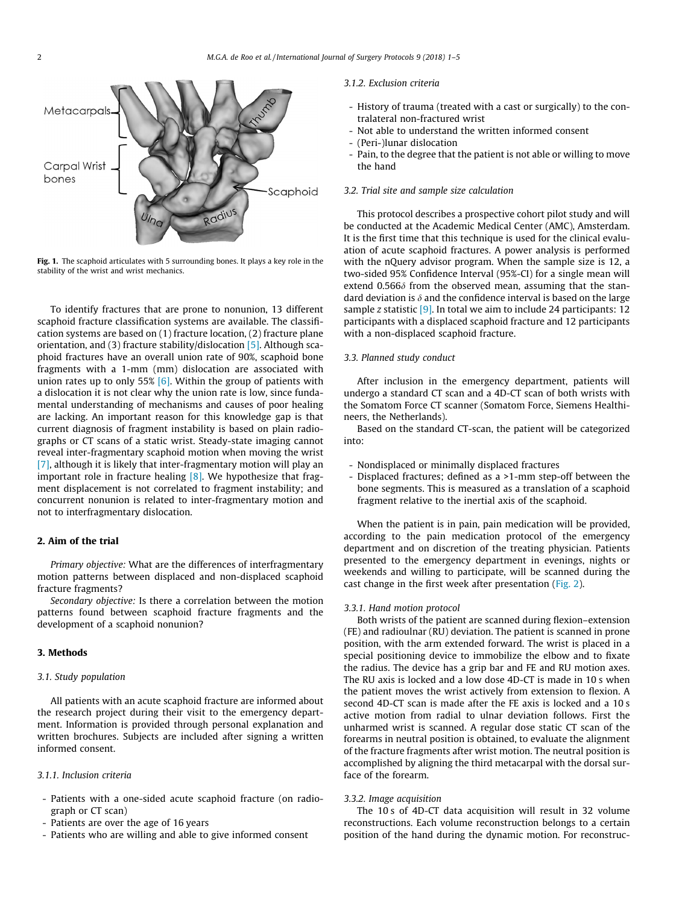<span id="page-1-0"></span>

Fig. 1. The scaphoid articulates with 5 surrounding bones. It plays a key role in the stability of the wrist and wrist mechanics.

To identify fractures that are prone to nonunion, 13 different scaphoid fracture classification systems are available. The classification systems are based on (1) fracture location, (2) fracture plane orientation, and (3) fracture stability/dislocation [\[5\].](#page-3-0) Although scaphoid fractures have an overall union rate of 90%, scaphoid bone fragments with a 1-mm (mm) dislocation are associated with union rates up to only 55% [\[6\]](#page-3-0). Within the group of patients with a dislocation it is not clear why the union rate is low, since fundamental understanding of mechanisms and causes of poor healing are lacking. An important reason for this knowledge gap is that current diagnosis of fragment instability is based on plain radiographs or CT scans of a static wrist. Steady-state imaging cannot reveal inter-fragmentary scaphoid motion when moving the wrist [\[7\]](#page-3-0), although it is likely that inter-fragmentary motion will play an important role in fracture healing  $[8]$ . We hypothesize that fragment displacement is not correlated to fragment instability; and concurrent nonunion is related to inter-fragmentary motion and not to interfragmentary dislocation.

# 2. Aim of the trial

Primary objective: What are the differences of interfragmentary motion patterns between displaced and non-displaced scaphoid fracture fragments?

Secondary objective: Is there a correlation between the motion patterns found between scaphoid fracture fragments and the development of a scaphoid nonunion?

# 3. Methods

#### 3.1. Study population

All patients with an acute scaphoid fracture are informed about the research project during their visit to the emergency department. Information is provided through personal explanation and written brochures. Subjects are included after signing a written informed consent.

# 3.1.1. Inclusion criteria

- Patients with a one-sided acute scaphoid fracture (on radiograph or CT scan)
- Patients are over the age of 16 years
- Patients who are willing and able to give informed consent

# 3.1.2. Exclusion criteria

- History of trauma (treated with a cast or surgically) to the contralateral non-fractured wrist
- Not able to understand the written informed consent
- (Peri-)lunar dislocation
- Pain, to the degree that the patient is not able or willing to move the hand

# 3.2. Trial site and sample size calculation

This protocol describes a prospective cohort pilot study and will be conducted at the Academic Medical Center (AMC), Amsterdam. It is the first time that this technique is used for the clinical evaluation of acute scaphoid fractures. A power analysis is performed with the nQuery advisor program. When the sample size is 12, a two-sided 95% Confidence Interval (95%-CI) for a single mean will extend 0.566 $\delta$  from the observed mean, assuming that the standard deviation is  $\delta$  and the confidence interval is based on the large sample *z* statistic  $[9]$ . In total we aim to include 24 participants: 12 participants with a displaced scaphoid fracture and 12 participants with a non-displaced scaphoid fracture.

# 3.3. Planned study conduct

After inclusion in the emergency department, patients will undergo a standard CT scan and a 4D-CT scan of both wrists with the Somatom Force CT scanner (Somatom Force, Siemens Healthineers, the Netherlands).

Based on the standard CT-scan, the patient will be categorized into:

- Nondisplaced or minimally displaced fractures
- Displaced fractures; defined as a >1-mm step-off between the bone segments. This is measured as a translation of a scaphoid fragment relative to the inertial axis of the scaphoid.

When the patient is in pain, pain medication will be provided, according to the pain medication protocol of the emergency department and on discretion of the treating physician. Patients presented to the emergency department in evenings, nights or weekends and willing to participate, will be scanned during the cast change in the first week after presentation ([Fig. 2](#page-2-0)).

# 3.3.1. Hand motion protocol

Both wrists of the patient are scanned during flexion–extension (FE) and radioulnar (RU) deviation. The patient is scanned in prone position, with the arm extended forward. The wrist is placed in a special positioning device to immobilize the elbow and to fixate the radius. The device has a grip bar and FE and RU motion axes. The RU axis is locked and a low dose 4D-CT is made in 10 s when the patient moves the wrist actively from extension to flexion. A second 4D-CT scan is made after the FE axis is locked and a 10 s active motion from radial to ulnar deviation follows. First the unharmed wrist is scanned. A regular dose static CT scan of the forearms in neutral position is obtained, to evaluate the alignment of the fracture fragments after wrist motion. The neutral position is accomplished by aligning the third metacarpal with the dorsal surface of the forearm.

#### 3.3.2. Image acquisition

The 10 s of 4D-CT data acquisition will result in 32 volume reconstructions. Each volume reconstruction belongs to a certain position of the hand during the dynamic motion. For reconstruc-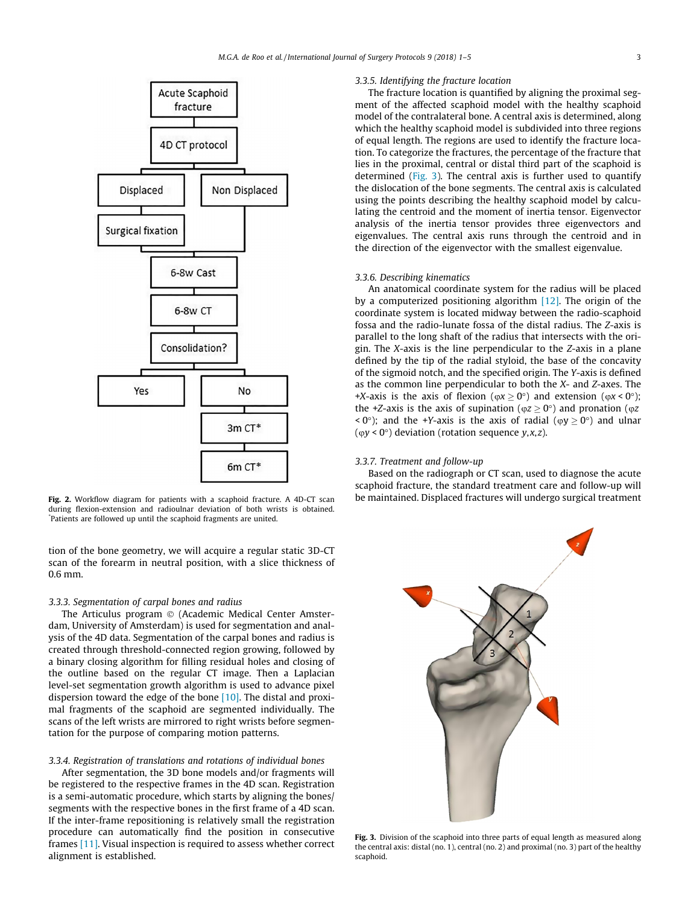<span id="page-2-0"></span>

during flexion-extension and radioulnar deviation of both wrists is obtained. \* Patients are followed up until the scaphoid fragments are united.

tion of the bone geometry, we will acquire a regular static 3D-CT scan of the forearm in neutral position, with a slice thickness of 0.6 mm.

# 3.3.3. Segmentation of carpal bones and radius

The Articulus program  $\odot$  (Academic Medical Center Amsterdam, University of Amsterdam) is used for segmentation and analysis of the 4D data. Segmentation of the carpal bones and radius is created through threshold-connected region growing, followed by a binary closing algorithm for filling residual holes and closing of the outline based on the regular CT image. Then a Laplacian level-set segmentation growth algorithm is used to advance pixel dispersion toward the edge of the bone [\[10\].](#page-3-0) The distal and proximal fragments of the scaphoid are segmented individually. The scans of the left wrists are mirrored to right wrists before segmentation for the purpose of comparing motion patterns.

# 3.3.4. Registration of translations and rotations of individual bones

After segmentation, the 3D bone models and/or fragments will be registered to the respective frames in the 4D scan. Registration is a semi-automatic procedure, which starts by aligning the bones/ segments with the respective bones in the first frame of a 4D scan. If the inter-frame repositioning is relatively small the registration procedure can automatically find the position in consecutive frames [\[11\].](#page-3-0) Visual inspection is required to assess whether correct alignment is established.

#### 3.3.5. Identifying the fracture location

The fracture location is quantified by aligning the proximal segment of the affected scaphoid model with the healthy scaphoid model of the contralateral bone. A central axis is determined, along which the healthy scaphoid model is subdivided into three regions of equal length. The regions are used to identify the fracture location. To categorize the fractures, the percentage of the fracture that lies in the proximal, central or distal third part of the scaphoid is determined (Fig. 3). The central axis is further used to quantify the dislocation of the bone segments. The central axis is calculated using the points describing the healthy scaphoid model by calculating the centroid and the moment of inertia tensor. Eigenvector analysis of the inertia tensor provides three eigenvectors and eigenvalues. The central axis runs through the centroid and in the direction of the eigenvector with the smallest eigenvalue.

# 3.3.6. Describing kinematics

An anatomical coordinate system for the radius will be placed by a computerized positioning algorithm [\[12\]](#page-4-0). The origin of the coordinate system is located midway between the radio-scaphoid fossa and the radio-lunate fossa of the distal radius. The Z-axis is parallel to the long shaft of the radius that intersects with the origin. The X-axis is the line perpendicular to the Z-axis in a plane defined by the tip of the radial styloid, the base of the concavity of the sigmoid notch, and the specified origin. The Y-axis is defined as the common line perpendicular to both the X- and Z-axes. The +X-axis is the axis of flexion ( $\varphi x \ge 0^\circ$ ) and extension ( $\varphi x < 0^\circ$ ); the +Z-axis is the axis of supination ( $\varphi z \ge 0^{\circ}$ ) and pronation ( $\varphi z$  $\langle 0^\circ \rangle$ ; and the +Y-axis is the axis of radial ( $\varphi y \ge 0^\circ$ ) and ulnar ( $\varphi$ y < 0°) deviation (rotation sequence y, x, z).

# 3.3.7. Treatment and follow-up

Based on the radiograph or CT scan, used to diagnose the acute scaphoid fracture, the standard treatment care and follow-up will Fig. 2. Workflow diagram for patients with a scaphoid fracture. A 4D-CT scan be maintained. Displaced fractures will undergo surgical treatment



Fig. 3. Division of the scaphoid into three parts of equal length as measured along the central axis: distal (no. 1), central (no. 2) and proximal (no. 3) part of the healthy scaphoid.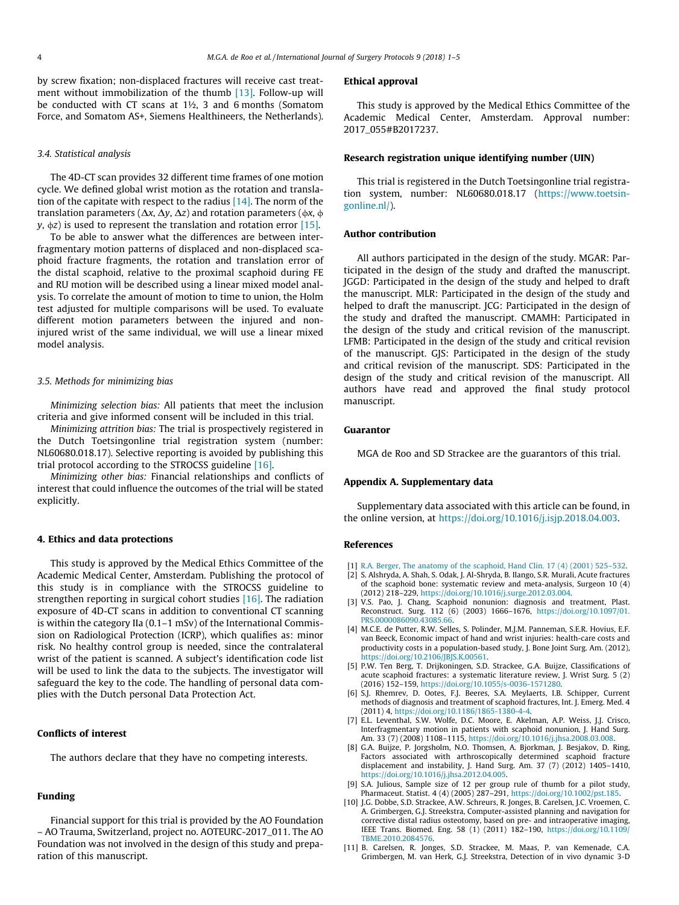<span id="page-3-0"></span>by screw fixation; non-displaced fractures will receive cast treatment without immobilization of the thumb [\[13\].](#page-4-0) Follow-up will be conducted with CT scans at 1½, 3 and 6 months (Somatom Force, and Somatom AS+, Siemens Healthineers, the Netherlands).

# 3.4. Statistical analysis

The 4D-CT scan provides 32 different time frames of one motion cycle. We defined global wrist motion as the rotation and translation of the capitate with respect to the radius [\[14\].](#page-4-0) The norm of the translation parameters ( $\Delta x$ ,  $\Delta y$ ,  $\Delta z$ ) and rotation parameters ( $\phi x$ ,  $\phi$  $y$ ,  $\phi z$ ) is used to represent the translation and rotation error [\[15\]](#page-4-0).

To be able to answer what the differences are between interfragmentary motion patterns of displaced and non-displaced scaphoid fracture fragments, the rotation and translation error of the distal scaphoid, relative to the proximal scaphoid during FE and RU motion will be described using a linear mixed model analysis. To correlate the amount of motion to time to union, the Holm test adjusted for multiple comparisons will be used. To evaluate different motion parameters between the injured and noninjured wrist of the same individual, we will use a linear mixed model analysis.

#### 3.5. Methods for minimizing bias

Minimizing selection bias: All patients that meet the inclusion criteria and give informed consent will be included in this trial.

Minimizing attrition bias: The trial is prospectively registered in the Dutch Toetsingonline trial registration system (number: NL60680.018.17). Selective reporting is avoided by publishing this trial protocol according to the STROCSS guideline [\[16\].](#page-4-0)

Minimizing other bias: Financial relationships and conflicts of interest that could influence the outcomes of the trial will be stated explicitly.

# 4. Ethics and data protections

This study is approved by the Medical Ethics Committee of the Academic Medical Center, Amsterdam. Publishing the protocol of this study is in compliance with the STROCSS guideline to strengthen reporting in surgical cohort studies [\[16\]](#page-4-0). The radiation exposure of 4D-CT scans in addition to conventional CT scanning is within the category IIa (0.1–1 mSv) of the International Commission on Radiological Protection (ICRP), which qualifies as: minor risk. No healthy control group is needed, since the contralateral wrist of the patient is scanned. A subject's identification code list will be used to link the data to the subjects. The investigator will safeguard the key to the code. The handling of personal data complies with the Dutch personal Data Protection Act.

# Conflicts of interest

The authors declare that they have no competing interests.

# Funding

Financial support for this trial is provided by the AO Foundation – AO Trauma, Switzerland, project no. AOTEURC-2017\_011. The AO Foundation was not involved in the design of this study and preparation of this manuscript.

# Ethical approval

This study is approved by the Medical Ethics Committee of the Academic Medical Center, Amsterdam. Approval number: 2017\_055#B2017237.

# Research registration unique identifying number (UIN)

This trial is registered in the Dutch Toetsingonline trial registration system, number: NL60680.018.17 [\(https://www.toetsin](https://www.toetsingonline.nl/)[gonline.nl/](https://www.toetsingonline.nl/)).

#### Author contribution

All authors participated in the design of the study. MGAR: Participated in the design of the study and drafted the manuscript. JGGD: Participated in the design of the study and helped to draft the manuscript. MLR: Participated in the design of the study and helped to draft the manuscript. JCG: Participated in the design of the study and drafted the manuscript. CMAMH: Participated in the design of the study and critical revision of the manuscript. LFMB: Participated in the design of the study and critical revision of the manuscript. GJS: Participated in the design of the study and critical revision of the manuscript. SDS: Participated in the design of the study and critical revision of the manuscript. All authors have read and approved the final study protocol manuscript.

# Guarantor

MGA de Roo and SD Strackee are the guarantors of this trial.

# Appendix A. Supplementary data

Supplementary data associated with this article can be found, in the online version, at [https://doi.org/10.1016/j.isjp.2018.04.003.](https://doi.org/10.1016/j.isjp.2018.04.003)

# References

- [1] R.A. Berger, The anatomy of the scaphoid, Hand Clin. 17 (4) (2001) 525-532.
- [2] S. Alshryda, A. Shah, S. Odak, J. Al-Shryda, B. Ilango, S.R. Murali, Acute fractures of the scaphoid bone: systematic review and meta-analysis, Surgeon 10 (4) (2012) 218–229, [https://doi.org/10.1016/j.surge.2012.03.004.](https://doi.org/10.1016/j.surge.2012.03.004)
- [3] V.S. Pao, J. Chang, Scaphoid nonunion: diagnosis and treatment, Plast. Reconstruct. Surg. 112 (6) (2003) 1666–1676, [https://doi.org/10.1097/01.](https://doi.org/10.1097/01.PRS.0000086090.43085.66) [PRS.0000086090.43085.66.](https://doi.org/10.1097/01.PRS.0000086090.43085.66)
- [4] M.C.E. de Putter, R.W. Selles, S. Polinder, M.J.M. Panneman, S.E.R. Hovius, E.F. van Beeck, Economic impact of hand and wrist injuries: health-care costs and productivity costs in a population-based study, J. Bone Joint Surg. Am. (2012), <https://doi.org/10.2106/JBJS.K.00561>.
- [5] P.W. Ten Berg, T. Drijkoningen, S.D. Strackee, G.A. Buijze, Classifications of acute scaphoid fractures: a systematic literature review, J. Wrist Surg. 5 (2) (2016) 152–159, [https://doi.org/10.1055/s-0036-1571280.](https://doi.org/10.1055/s-0036-1571280)
- [6] S.J. Rhemrev, D. Ootes, F.J. Beeres, S.A. Meylaerts, I.B. Schipper, Current methods of diagnosis and treatment of scaphoid fractures, Int. J. Emerg. Med. 4 (2011) 4, <https://doi.org/10.1186/1865-1380-4-4>.
- [7] E.L. Leventhal, S.W. Wolfe, D.C. Moore, E. Akelman, A.P. Weiss, J.J. Crisco, Interfragmentary motion in patients with scaphoid nonunion, J. Hand Surg. Am. 33 (7) (2008) 1108–1115, <https://doi.org/10.1016/j.jhsa.2008.03.008>.
- [8] G.A. Buijze, P. Jorgsholm, N.O. Thomsen, A. Bjorkman, J. Besjakov, D. Ring, Factors associated with arthroscopically determined scaphoid fracture displacement and instability, J. Hand Surg. Am. 37 (7) (2012) 1405–1410, [https://doi.org/10.1016/j.jhsa.2012.04.005.](https://doi.org/10.1016/j.jhsa.2012.04.005)
- [9] S.A. Julious, Sample size of 12 per group rule of thumb for a pilot study, Pharmaceut. Statist. 4 (4) (2005) 287–291, <https://doi.org/10.1002/pst.185>.
- [10] J.G. Dobbe, S.D. Strackee, A.W. Schreurs, R. Jonges, B. Carelsen, J.C. Vroemen, C. A. Grimbergen, G.J. Streekstra, Computer-assisted planning and navigation for corrective distal radius osteotomy, based on pre- and intraoperative imaging, IEEE Trans. Biomed. Eng. 58 (1) (2011) 182–190, [https://doi.org/10.1109/](https://doi.org/10.1109/TBME.2010.2084576) [TBME.2010.2084576.](https://doi.org/10.1109/TBME.2010.2084576)
- [11] B. Carelsen, R. Jonges, S.D. Strackee, M. Maas, P. van Kemenade, C.A. Grimbergen, M. van Herk, G.J. Streekstra, Detection of in vivo dynamic 3-D